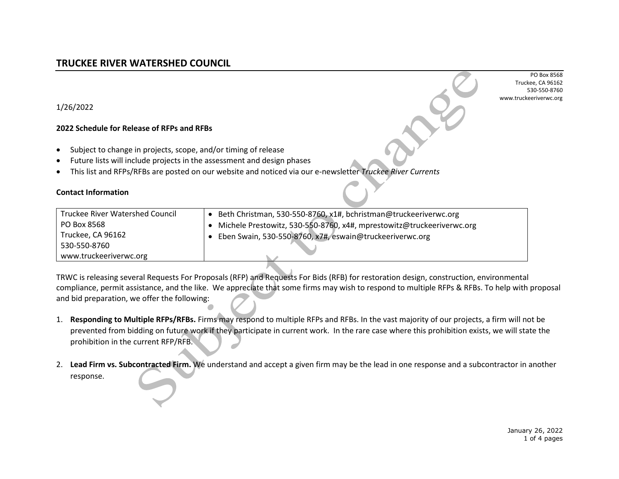PO Box 8568 Truckee, CA 96162 530-550-8760 [www.truckeeriverwc.org](http://www.truckeeriverwc.org/)

1/26/2022

## **2022 Schedule for Release of RFPs and RFBs**

- Subject to change in projects, scope, and/or timing of release
- Future lists will include projects in the assessment and design phases
- This list and RFPs/RFBs are posted on our website and noticed via our e-newsletter *Truckee River Currents*

## **Contact Information**

| <b>Truckee River Watershed Council</b> | Beth Christman, 530-550-8760, x1#, bchristman@truckeeriverwc.org      |
|----------------------------------------|-----------------------------------------------------------------------|
| PO Box 8568                            | Michele Prestowitz, 530-550-8760, x4#, mprestowitz@truckeeriverwc.org |
| Truckee, CA 96162                      | Eben Swain, 530-550-8760, x7#, eswain@truckeeriverwc.org              |
| 530-550-8760                           |                                                                       |
| www.truckeeriverwc.org                 |                                                                       |

TRWC is releasing several Requests For Proposals (RFP) and Requests For Bids (RFB) for restoration design, construction, environmental compliance, permit assistance, and the like. We appreciate that some firms may wish to respond to multiple RFPs & RFBs. To help with proposal and bid preparation, we offer the following:  $\Box$ 

- 1. **Responding to Multiple RFPs/RFBs.** Firms may respond to multiple RFPs and RFBs. In the vast majority of our projects, a firm will not be prevented from bidding on future work if they participate in current work. In the rare case where this prohibition exists, we will state the prohibition in the current RFP/RFB.
- 2. **Lead Firm vs. Subcontracted Firm.** We understand and accept a given firm may be the lead in one response and a subcontractor in another response.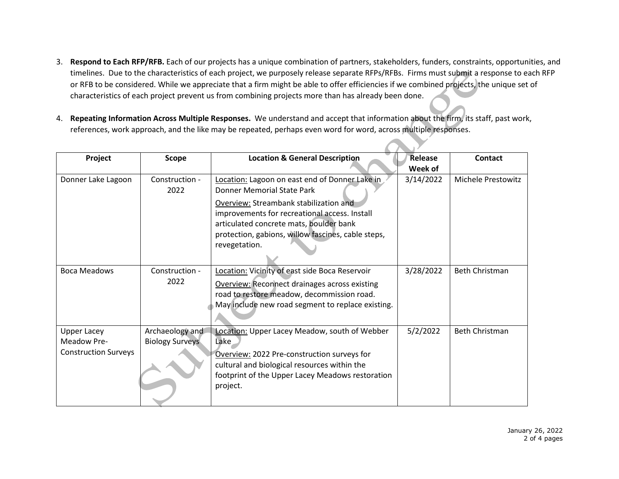- 3. **Respond to Each RFP/RFB.** Each of our projects has a unique combination of partners, stakeholders, funders, constraints, opportunities, and timelines. Due to the characteristics of each project, we purposely release separate RFPs/RFBs. Firms must submit a response to each RFP or RFB to be considered. While we appreciate that a firm might be able to offer efficiencies if we combined projects, the unique set of characteristics of each project prevent us from combining projects more than has already been done.
- 4. **Repeating Information Across Multiple Responses.** We understand and accept that information about the firm, its staff, past work, references, work approach, and the like may be repeated, perhaps even word for word, across multiple responses.

| Project                     | Scope                  | <b>Location &amp; General Description</b>            | <b>Release</b> | Contact                   |
|-----------------------------|------------------------|------------------------------------------------------|----------------|---------------------------|
|                             |                        |                                                      | Week of        |                           |
| Donner Lake Lagoon          | Construction -         | Location: Lagoon on east end of Donner Lake in       | 3/14/2022      | <b>Michele Prestowitz</b> |
|                             | 2022                   | Donner Memorial State Park                           |                |                           |
|                             |                        | Overview: Streambank stabilization and               |                |                           |
|                             |                        | improvements for recreational access. Install        |                |                           |
|                             |                        | articulated concrete mats, boulder bank              |                |                           |
|                             |                        | protection, gabions, willow fascines, cable steps,   |                |                           |
|                             |                        | revegetation.                                        |                |                           |
|                             |                        |                                                      |                |                           |
| <b>Boca Meadows</b><br>2022 | Construction -         | Location: Vicinity of east side Boca Reservoir       | 3/28/2022      | Beth Christman            |
|                             |                        | <b>Overview: Reconnect drainages across existing</b> |                |                           |
|                             |                        | road to restore meadow, decommission road.           |                |                           |
|                             |                        | May include new road segment to replace existing.    |                |                           |
|                             |                        |                                                      |                |                           |
| <b>Upper Lacey</b>          | Archaeology and        | Location: Upper Lacey Meadow, south of Webber        | 5/2/2022       | <b>Beth Christman</b>     |
| Meadow Pre-                 | <b>Biology Surveys</b> | Lake                                                 |                |                           |
| <b>Construction Surveys</b> |                        | Overview: 2022 Pre-construction surveys for          |                |                           |
|                             |                        | cultural and biological resources within the         |                |                           |
|                             |                        | footprint of the Upper Lacey Meadows restoration     |                |                           |
|                             |                        | project.                                             |                |                           |
|                             |                        |                                                      |                |                           |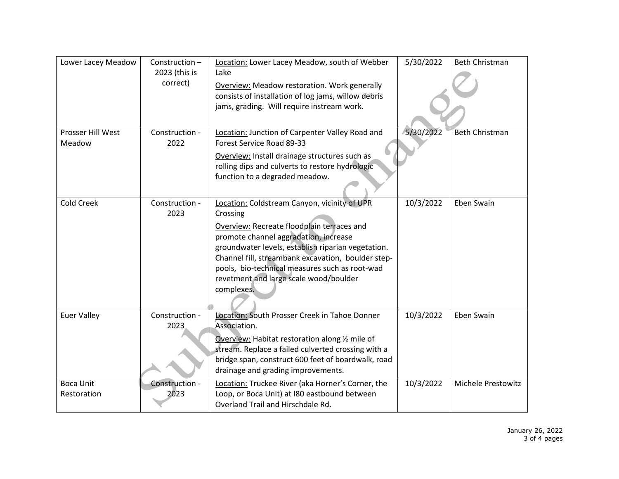| Lower Lacey Meadow              | Construction-<br>2023 (this is<br>correct) | Location: Lower Lacey Meadow, south of Webber<br>Lake<br>Overview: Meadow restoration. Work generally<br>consists of installation of log jams, willow debris<br>jams, grading. Will require instream work.                                                                                                                                                            | 5/30/2022 | <b>Beth Christman</b>     |
|---------------------------------|--------------------------------------------|-----------------------------------------------------------------------------------------------------------------------------------------------------------------------------------------------------------------------------------------------------------------------------------------------------------------------------------------------------------------------|-----------|---------------------------|
| Prosser Hill West<br>Meadow     | Construction -<br>2022                     | Location: Junction of Carpenter Valley Road and<br>Forest Service Road 89-33<br>Overview: Install drainage structures such as<br>rolling dips and culverts to restore hydrologic<br>function to a degraded meadow.                                                                                                                                                    | 5/30/2022 | <b>Beth Christman</b>     |
| Cold Creek                      | Construction -<br>2023                     | Location: Coldstream Canyon, vicinity of UPR<br>Crossing<br>Overview: Recreate floodplain terraces and<br>promote channel aggradation, increase<br>groundwater levels, establish riparian vegetation.<br>Channel fill, streambank excavation, boulder step-<br>pools, bio-technical measures such as root-wad<br>revetment and large scale wood/boulder<br>complexes. | 10/3/2022 | Eben Swain                |
| <b>Euer Valley</b>              | Construction -<br>2023                     | Location: South Prosser Creek in Tahoe Donner<br>Association.<br>Overview: Habitat restoration along 1/2 mile of<br>stream. Replace a failed culverted crossing with a<br>bridge span, construct 600 feet of boardwalk, road<br>drainage and grading improvements.                                                                                                    | 10/3/2022 | Eben Swain                |
| <b>Boca Unit</b><br>Restoration | Construction -<br>2023                     | Location: Truckee River (aka Horner's Corner, the<br>Loop, or Boca Unit) at I80 eastbound between<br>Overland Trail and Hirschdale Rd.                                                                                                                                                                                                                                | 10/3/2022 | <b>Michele Prestowitz</b> |